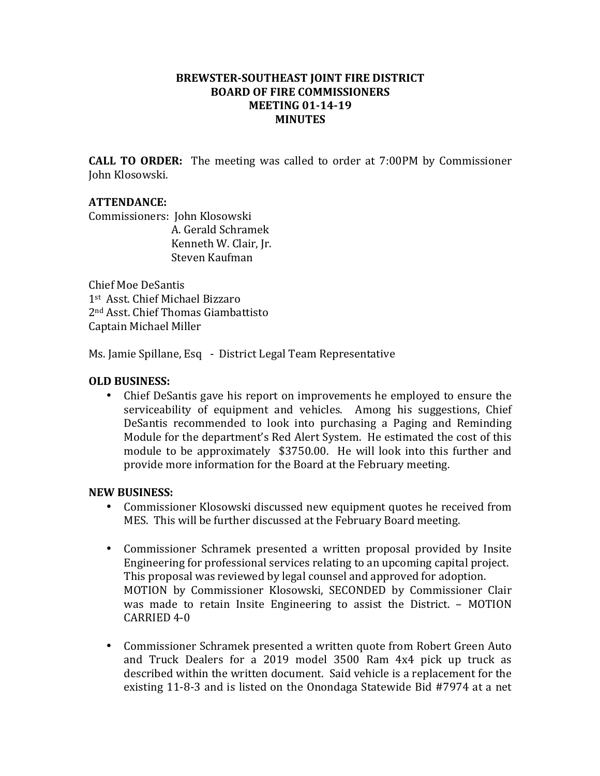## **BREWSTER-SOUTHEAST JOINT FIRE DISTRICT BOARD OF FIRE COMMISSIONERS MEETING 01-14-19 MINUTES**

**CALL TO ORDER:** The meeting was called to order at 7:00PM by Commissioner John Klosowski.

## **ATTENDANCE:**

Commissioners: John Klosowski A. Gerald Schramek Kenneth W. Clair, Jr. Steven Kaufman

Chief Moe DeSantis 1st Asst. Chief Michael Bizzaro 2<sup>nd</sup> Asst. Chief Thomas Giambattisto Captain Michael Miller

Ms. Jamie Spillane, Esq - District Legal Team Representative

## **OLD BUSINESS:**

• Chief DeSantis gave his report on improvements he employed to ensure the serviceability of equipment and vehicles. Among his suggestions, Chief DeSantis recommended to look into purchasing a Paging and Reminding Module for the department's Red Alert System. He estimated the cost of this module to be approximately  $$3750.00$ . He will look into this further and provide more information for the Board at the February meeting.

## **NEW BUSINESS:**

- Commissioner Klosowski discussed new equipment quotes he received from MES. This will be further discussed at the February Board meeting.
- Commissioner Schramek presented a written proposal provided by Insite Engineering for professional services relating to an upcoming capital project. This proposal was reviewed by legal counsel and approved for adoption. MOTION by Commissioner Klosowski, SECONDED by Commissioner Clair was made to retain Insite Engineering to assist the District. – MOTION  $CARRIED$  4-0
- Commissioner Schramek presented a written quote from Robert Green Auto and Truck Dealers for a 2019 model 3500 Ram 4x4 pick up truck as described within the written document. Said vehicle is a replacement for the existing 11-8-3 and is listed on the Onondaga Statewide Bid #7974 at a net